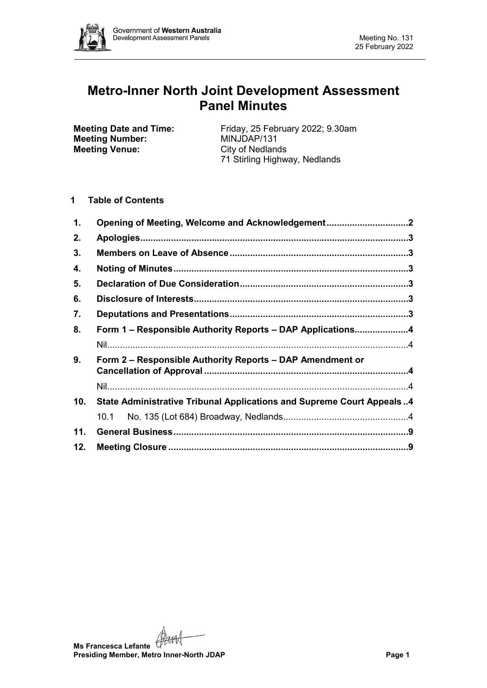

# **Metro-Inner North Joint Development Assessment Panel Minutes**

**Meeting Number: Meeting Venue:** City of Nedlands

**Meeting Date and Time:** Friday, 25 February 2022; 9.30am<br> **Meeting Number:** MINJDAP/131 71 Stirling Highway, Nedlands

# **1 Table of Contents**

| 1.  | Opening of Meeting, Welcome and Acknowledgement2                             |  |
|-----|------------------------------------------------------------------------------|--|
| 2.  |                                                                              |  |
| 3.  |                                                                              |  |
| 4.  |                                                                              |  |
| 5.  |                                                                              |  |
| 6.  |                                                                              |  |
| 7.  |                                                                              |  |
| 8.  | Form 1 – Responsible Authority Reports – DAP Applications4                   |  |
|     |                                                                              |  |
| 9.  | Form 2 - Responsible Authority Reports - DAP Amendment or                    |  |
|     |                                                                              |  |
| 10. | <b>State Administrative Tribunal Applications and Supreme Court Appeals4</b> |  |
|     | 10.1                                                                         |  |
| 11. |                                                                              |  |
|     |                                                                              |  |

**Ms Francesca Lefante**<br>Presiding Momb **Presiding Member, Metro Inner-North JDAP Page 1**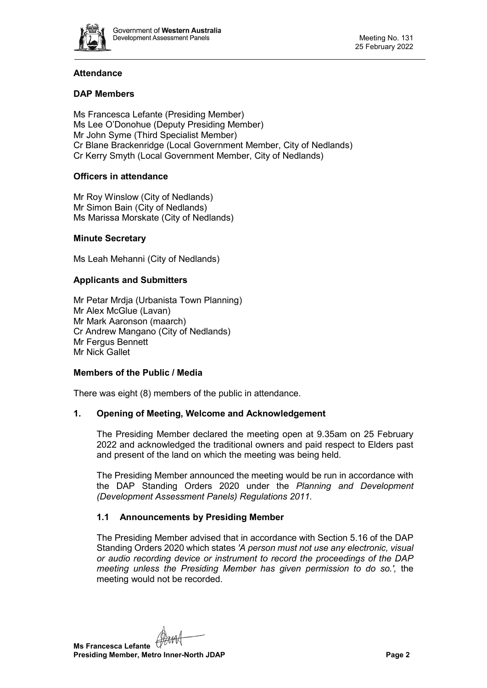

# **Attendance**

# **DAP Members**

Ms Francesca Lefante (Presiding Member) Ms Lee O'Donohue (Deputy Presiding Member) Mr John Syme (Third Specialist Member) Cr Blane Brackenridge (Local Government Member, City of Nedlands) Cr Kerry Smyth (Local Government Member, City of Nedlands)

#### **Officers in attendance**

Mr Roy Winslow (City of Nedlands) Mr Simon Bain (City of Nedlands) Ms Marissa Morskate (City of Nedlands)

#### **Minute Secretary**

Ms Leah Mehanni (City of Nedlands)

#### **Applicants and Submitters**

Mr Petar Mrdja (Urbanista Town Planning) Mr Alex McGlue (Lavan) Mr Mark Aaronson (maarch) Cr Andrew Mangano (City of Nedlands) Mr Fergus Bennett Mr Nick Gallet

#### **Members of the Public / Media**

There was eight (8) members of the public in attendance.

#### <span id="page-1-0"></span>**1. Opening of Meeting, Welcome and Acknowledgement**

The Presiding Member declared the meeting open at 9.35am on 25 February 2022 and acknowledged the traditional owners and paid respect to Elders past and present of the land on which the meeting was being held.

The Presiding Member announced the meeting would be run in accordance with the DAP Standing Orders 2020 under the *Planning and Development (Development Assessment Panels) Regulations 2011.*

#### **1.1 Announcements by Presiding Member**

The Presiding Member advised that in accordance with Section 5.16 of the DAP Standing Orders 2020 which states *'A person must not use any electronic, visual or audio recording device or instrument to record the proceedings of the DAP meeting unless the Presiding Member has given permission to do so.',* the meeting would not be recorded.

**Ms Francesca Lefante Presiding Member, Metro Inner-North JDAP Page 2**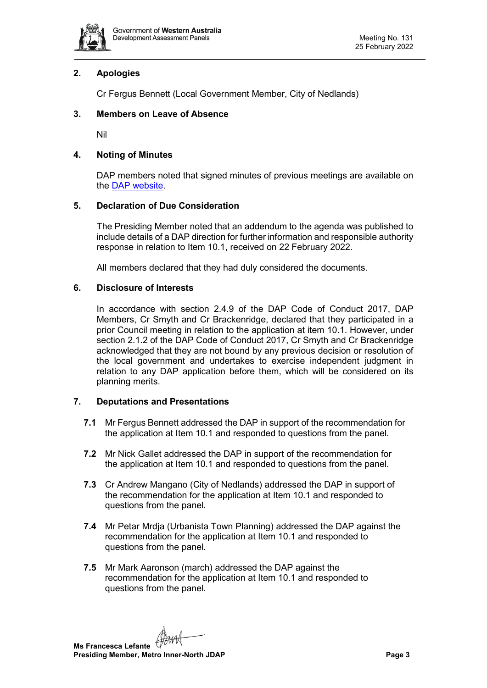

# <span id="page-2-0"></span>**2. Apologies**

Cr Fergus Bennett (Local Government Member, City of Nedlands)

# <span id="page-2-1"></span>**3. Members on Leave of Absence**

Nil

# <span id="page-2-2"></span>**4. Noting of Minutes**

DAP members noted that signed minutes of previous meetings are available on the [DAP website.](https://www.dplh.wa.gov.au/about/development-assessment-panels/daps-agendas-and-minutes)

# <span id="page-2-3"></span>**5. Declaration of Due Consideration**

The Presiding Member noted that an addendum to the agenda was published to include details of a DAP direction for further information and responsible authority response in relation to Item 10.1, received on 22 February 2022.

All members declared that they had duly considered the documents.

#### <span id="page-2-4"></span>**6. Disclosure of Interests**

In accordance with section 2.4.9 of the DAP Code of Conduct 2017, DAP Members, Cr Smyth and Cr Brackenridge, declared that they participated in a prior Council meeting in relation to the application at item 10.1. However, under section 2.1.2 of the DAP Code of Conduct 2017, Cr Smyth and Cr Brackenridge acknowledged that they are not bound by any previous decision or resolution of the local government and undertakes to exercise independent judgment in relation to any DAP application before them, which will be considered on its planning merits.

#### <span id="page-2-5"></span>**7. Deputations and Presentations**

- **7.1** Mr Fergus Bennett addressed the DAP in support of the recommendation for the application at Item 10.1 and responded to questions from the panel.
- **7.2** Mr Nick Gallet addressed the DAP in support of the recommendation for the application at Item 10.1 and responded to questions from the panel.
- **7.3** Cr Andrew Mangano (City of Nedlands) addressed the DAP in support of the recommendation for the application at Item 10.1 and responded to questions from the panel.
- **7.4** Mr Petar Mrdja (Urbanista Town Planning) addressed the DAP against the recommendation for the application at Item 10.1 and responded to questions from the panel.
- **7.5** Mr Mark Aaronson (march) addressed the DAP against the recommendation for the application at Item 10.1 and responded to questions from the panel.

**Ms Francesca Lefante Presiding Member, Metro Inner-North JDAP Page 3**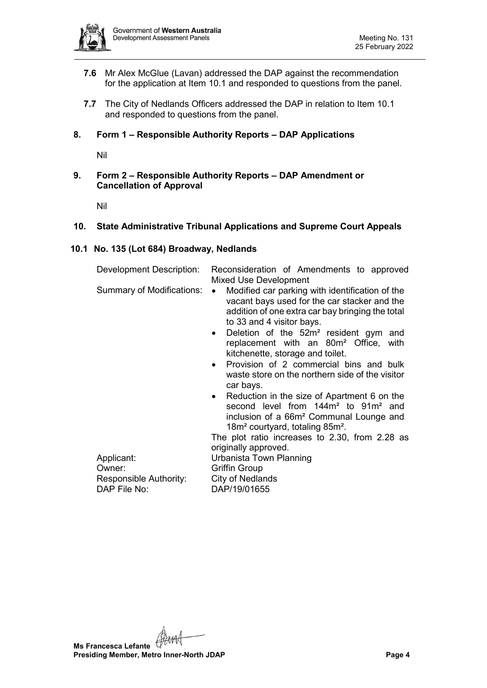

- **7.6** Mr Alex McGlue (Lavan) addressed the DAP against the recommendation for the application at Item 10.1 and responded to questions from the panel.
- **7.7** The City of Nedlands Officers addressed the DAP in relation to Item 10.1 and responded to questions from the panel.

#### <span id="page-3-0"></span>**8. Form 1 – Responsible Authority Reports – DAP Applications**

Nil

<span id="page-3-2"></span><span id="page-3-1"></span>**9. Form 2 – Responsible Authority Reports – DAP Amendment or Cancellation of Approval**

Nil

#### <span id="page-3-4"></span><span id="page-3-3"></span>**10. State Administrative Tribunal Applications and Supreme Court Appeals**

#### <span id="page-3-5"></span>**10.1 No. 135 (Lot 684) Broadway, Nedlands**

| Development Description:  | Reconsideration of Amendments to approved<br>Mixed Use Development                                                                                                                                                                                              |  |  |
|---------------------------|-----------------------------------------------------------------------------------------------------------------------------------------------------------------------------------------------------------------------------------------------------------------|--|--|
| Summary of Modifications: | Modified car parking with identification of the<br>$\bullet$<br>vacant bays used for the car stacker and the<br>addition of one extra car bay bringing the total<br>to 33 and 4 visitor bays.<br>Deletion of the 52m <sup>2</sup> resident gym and<br>$\bullet$ |  |  |
|                           | replacement with an 80m <sup>2</sup> Office, with<br>kitchenette, storage and toilet.                                                                                                                                                                           |  |  |
|                           | Provision of 2 commercial bins and bulk<br>$\bullet$<br>waste store on the northern side of the visitor<br>car bays.                                                                                                                                            |  |  |
|                           | Reduction in the size of Apartment 6 on the<br>$\bullet$<br>second level from 144m <sup>2</sup> to 91m <sup>2</sup> and<br>inclusion of a 66m <sup>2</sup> Communal Lounge and<br>18m <sup>2</sup> courtyard, totaling 85m <sup>2</sup> .                       |  |  |
|                           | The plot ratio increases to 2.30, from 2.28 as                                                                                                                                                                                                                  |  |  |
|                           | originally approved.                                                                                                                                                                                                                                            |  |  |
| Applicant:                | Urbanista Town Planning                                                                                                                                                                                                                                         |  |  |
| Owner:                    | <b>Griffin Group</b>                                                                                                                                                                                                                                            |  |  |
| Responsible Authority:    | City of Nedlands                                                                                                                                                                                                                                                |  |  |
| DAP File No:              | DAP/19/01655                                                                                                                                                                                                                                                    |  |  |

**Ms Francesca Lefante Presiding Member, Metro Inner-North JDAP Page 4 Page 4**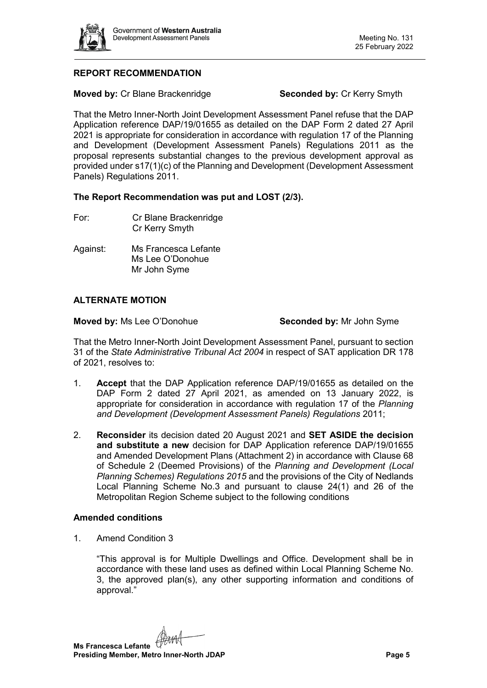

# **REPORT RECOMMENDATION**

**Moved by:** Cr Blane Brackenridge **Seconded by:** Cr Kerry Smyth

That the Metro Inner-North Joint Development Assessment Panel refuse that the DAP Application reference DAP/19/01655 as detailed on the DAP Form 2 dated 27 April 2021 is appropriate for consideration in accordance with regulation 17 of the Planning and Development (Development Assessment Panels) Regulations 2011 as the proposal represents substantial changes to the previous development approval as provided under s17(1)(c) of the Planning and Development (Development Assessment Panels) Regulations 2011.

#### **The Report Recommendation was put and LOST (2/3).**

- For: Cr Blane Brackenridge Cr Kerry Smyth
- Against: Ms Francesca Lefante Ms Lee O'Donohue Mr John Syme

#### **ALTERNATE MOTION**

**Moved by:** Ms Lee O'Donohue **Seconded by:** Mr John Syme

That the Metro Inner-North Joint Development Assessment Panel, pursuant to section 31 of the *State Administrative Tribunal Act 2004* in respect of SAT application DR 178 of 2021, resolves to:

- 1. **Accept** that the DAP Application reference DAP/19/01655 as detailed on the DAP Form 2 dated 27 April 2021, as amended on 13 January 2022, is appropriate for consideration in accordance with regulation 17 of the *Planning and Development (Development Assessment Panels) Regulations* 2011;
- 2. **Reconsider** its decision dated 20 August 2021 and **SET ASIDE the decision and substitute a new** decision for DAP Application reference DAP/19/01655 and Amended Development Plans (Attachment 2) in accordance with Clause 68 of Schedule 2 (Deemed Provisions) of the *Planning and Development (Local Planning Schemes) Regulations 2015* and the provisions of the City of Nedlands Local Planning Scheme No.3 and pursuant to clause 24(1) and 26 of the Metropolitan Region Scheme subject to the following conditions

#### **Amended conditions**

1. Amend Condition 3

"This approval is for Multiple Dwellings and Office. Development shall be in accordance with these land uses as defined within Local Planning Scheme No. 3, the approved plan(s), any other supporting information and conditions of approval."

**Ms Francesca Lefante Presiding Member, Metro Inner-North JDAP Page 5**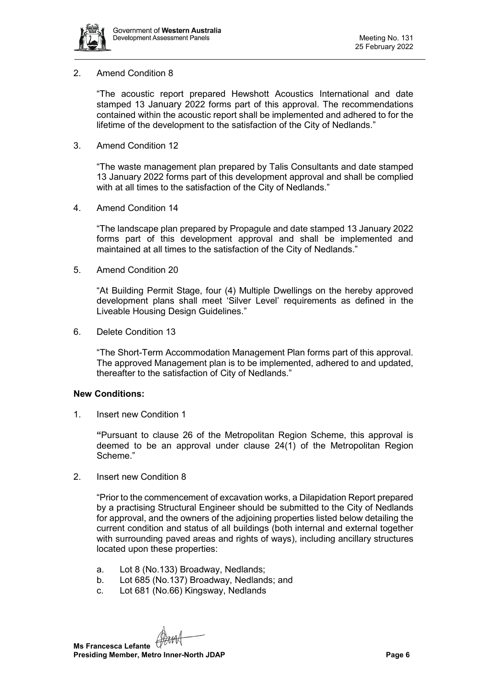

#### 2. Amend Condition 8

"The acoustic report prepared Hewshott Acoustics International and date stamped 13 January 2022 forms part of this approval. The recommendations contained within the acoustic report shall be implemented and adhered to for the lifetime of the development to the satisfaction of the City of Nedlands."

3. Amend Condition 12

"The waste management plan prepared by Talis Consultants and date stamped 13 January 2022 forms part of this development approval and shall be complied with at all times to the satisfaction of the City of Nedlands."

4. Amend Condition 14

"The landscape plan prepared by Propagule and date stamped 13 January 2022 forms part of this development approval and shall be implemented and maintained at all times to the satisfaction of the City of Nedlands."

5. Amend Condition 20

"At Building Permit Stage, four (4) Multiple Dwellings on the hereby approved development plans shall meet 'Silver Level' requirements as defined in the Liveable Housing Design Guidelines."

6. Delete Condition 13

"The Short-Term Accommodation Management Plan forms part of this approval. The approved Management plan is to be implemented, adhered to and updated, thereafter to the satisfaction of City of Nedlands."

#### **New Conditions:**

1. Insert new Condition 1

**"**Pursuant to clause 26 of the Metropolitan Region Scheme, this approval is deemed to be an approval under clause 24(1) of the Metropolitan Region Scheme."

2. Insert new Condition 8

"Prior to the commencement of excavation works, a Dilapidation Report prepared by a practising Structural Engineer should be submitted to the City of Nedlands for approval, and the owners of the adjoining properties listed below detailing the current condition and status of all buildings (both internal and external together with surrounding paved areas and rights of ways), including ancillary structures located upon these properties:

- a. Lot 8 (No.133) Broadway, Nedlands;
- b. Lot 685 (No.137) Broadway, Nedlands; and
- c. Lot 681 (No.66) Kingsway, Nedlands

**Ms Francesca Lefante Presiding Member, Metro Inner-North JDAP Page 6 Page 6**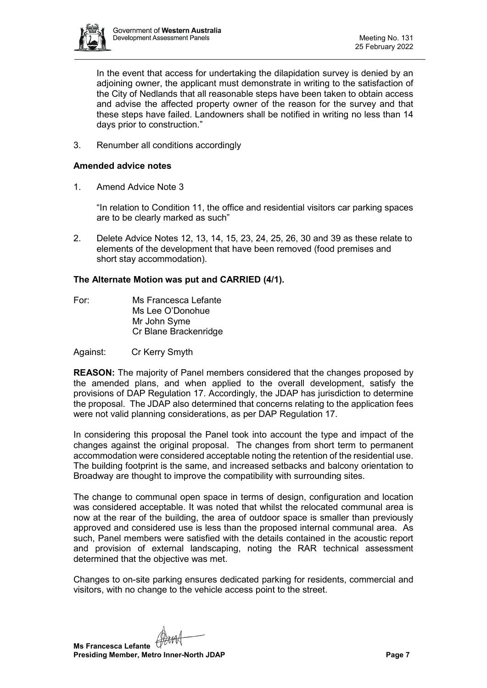

In the event that access for undertaking the dilapidation survey is denied by an adjoining owner, the applicant must demonstrate in writing to the satisfaction of the City of Nedlands that all reasonable steps have been taken to obtain access and advise the affected property owner of the reason for the survey and that these steps have failed. Landowners shall be notified in writing no less than 14 days prior to construction."

3. Renumber all conditions accordingly

#### **Amended advice notes**

1. Amend Advice Note 3

"In relation to Condition 11, the office and residential visitors car parking spaces are to be clearly marked as such"

2. Delete Advice Notes 12, 13, 14, 15, 23, 24, 25, 26, 30 and 39 as these relate to elements of the development that have been removed (food premises and short stay accommodation).

#### **The Alternate Motion was put and CARRIED (4/1).**

For: Ms Francesca Lefante Ms Lee O'Donohue Mr John Syme Cr Blane Brackenridge

Against: Cr Kerry Smyth

**REASON:** The majority of Panel members considered that the changes proposed by the amended plans, and when applied to the overall development, satisfy the provisions of DAP Regulation 17. Accordingly, the JDAP has jurisdiction to determine the proposal. The JDAP also determined that concerns relating to the application fees were not valid planning considerations, as per DAP Regulation 17.

In considering this proposal the Panel took into account the type and impact of the changes against the original proposal. The changes from short term to permanent accommodation were considered acceptable noting the retention of the residential use. The building footprint is the same, and increased setbacks and balcony orientation to Broadway are thought to improve the compatibility with surrounding sites.

The change to communal open space in terms of design, configuration and location was considered acceptable. It was noted that whilst the relocated communal area is now at the rear of the building, the area of outdoor space is smaller than previously approved and considered use is less than the proposed internal communal area. As such, Panel members were satisfied with the details contained in the acoustic report and provision of external landscaping, noting the RAR technical assessment determined that the objective was met.

Changes to on-site parking ensures dedicated parking for residents, commercial and visitors, with no change to the vehicle access point to the street.

**Ms Francesca Lefante Presiding Member, Metro Inner-North JDAP Page 7 Page 7**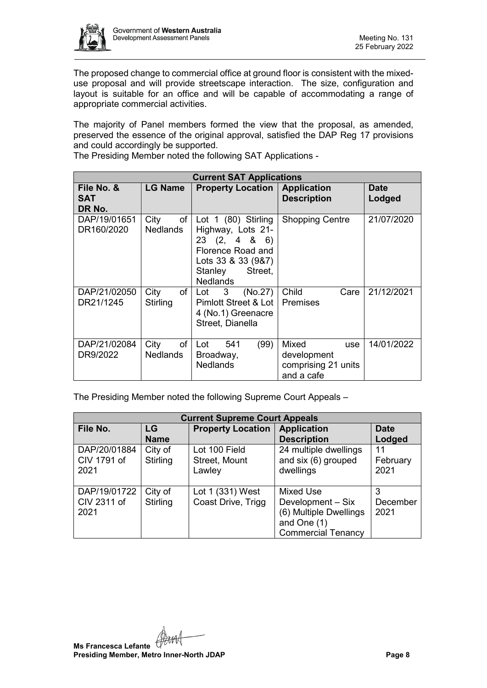

The proposed change to commercial office at ground floor is consistent with the mixeduse proposal and will provide streetscape interaction. The size, configuration and layout is suitable for an office and will be capable of accommodating a range of appropriate commercial activities.

The majority of Panel members formed the view that the proposal, as amended, preserved the essence of the original approval, satisfied the DAP Reg 17 provisions and could accordingly be supported.

The Presiding Member noted the following SAT Applications -

| <b>Current SAT Applications</b> |                               |                                                                                                                                            |                                                                         |                       |  |  |  |  |  |
|---------------------------------|-------------------------------|--------------------------------------------------------------------------------------------------------------------------------------------|-------------------------------------------------------------------------|-----------------------|--|--|--|--|--|
| File No. &<br>SAT<br>DR No.     | <b>LG Name</b>                | <b>Property Location</b>                                                                                                                   | <b>Application</b><br><b>Description</b>                                | <b>Date</b><br>Lodged |  |  |  |  |  |
| DAP/19/01651<br>DR160/2020      | of<br>City<br><b>Nedlands</b> | Lot 1 (80) Stirling<br>Highway, Lots 21-<br>23(2, 486)<br>Florence Road and<br>Lots 33 & 33 (9&7)<br>Street.<br>Stanley<br><b>Nedlands</b> | <b>Shopping Centre</b>                                                  | 21/07/2020            |  |  |  |  |  |
| DAP/21/02050<br>DR21/1245       | of<br>City<br>Stirling        | 3 <sup>7</sup><br>(No.27)<br>Lot<br>Pimlott Street & Lot  <br>4 (No.1) Greenacre<br>Street, Dianella                                       | Child<br>Care<br><b>Premises</b>                                        | 21/12/2021            |  |  |  |  |  |
| DAP/21/02084<br>DR9/2022        | of<br>City<br><b>Nedlands</b> | (99)<br>Lot<br>541<br>Broadway,<br><b>Nedlands</b>                                                                                         | Mixed<br><b>use</b><br>development<br>comprising 21 units<br>and a cafe | 14/01/2022            |  |  |  |  |  |

The Presiding Member noted the following Supreme Court Appeals –

| <b>Current Supreme Court Appeals</b> |                     |                                          |                                                                                                      |                        |  |  |  |  |
|--------------------------------------|---------------------|------------------------------------------|------------------------------------------------------------------------------------------------------|------------------------|--|--|--|--|
| File No.                             | LG                  | <b>Property Location</b>                 | <b>Application</b>                                                                                   | <b>Date</b>            |  |  |  |  |
|                                      | <b>Name</b>         |                                          | <b>Description</b>                                                                                   | Lodged                 |  |  |  |  |
| DAP/20/01884<br>CIV 1791 of<br>2021  | City of<br>Stirling | Lot 100 Field<br>Street, Mount<br>Lawley | 24 multiple dwellings<br>and six (6) grouped<br>dwellings                                            | 11<br>February<br>2021 |  |  |  |  |
| DAP/19/01722<br>CIV 2311 of<br>2021  | City of<br>Stirling | Lot 1 (331) West<br>Coast Drive, Trigg   | Mixed Use<br>Development - Six<br>(6) Multiple Dwellings<br>and One (1)<br><b>Commercial Tenancy</b> | 3<br>December<br>2021  |  |  |  |  |

**Ms Francesca Lefante Presiding Member, Metro Inner-North JDAP Page 8**